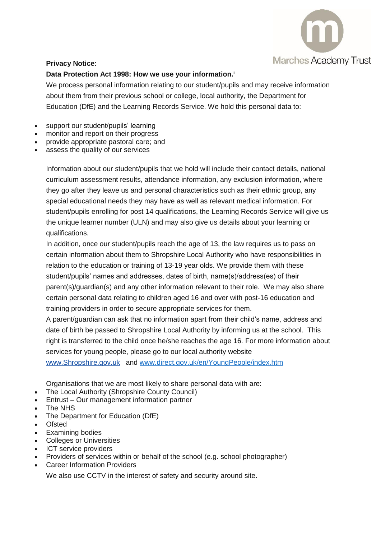

## **Privacy Notice:**

## **Data Protection Act 1998: How we use your information. i**

We process personal information relating to our student/pupils and may receive information about them from their previous school or college, local authority, the Department for Education (DfE) and the Learning Records Service. We hold this personal data to:

- support our student/pupils' learning
- monitor and report on their progress
- provide appropriate pastoral care; and
- assess the quality of our services

Information about our student/pupils that we hold will include their contact details, national curriculum assessment results, attendance information, any exclusion information, where they go after they leave us and personal characteristics such as their ethnic group, any special educational needs they may have as well as relevant medical information. For student/pupils enrolling for post 14 qualifications, the Learning Records Service will give us the unique learner number (ULN) and may also give us details about your learning or qualifications.

In addition, once our student/pupils reach the age of 13, the law requires us to pass on certain information about them to Shropshire Local Authority who have responsibilities in relation to the education or training of 13-19 year olds. We provide them with these student/pupils' names and addresses, dates of birth, name(s)/address(es) of their parent(s)/guardian(s) and any other information relevant to their role. We may also share certain personal data relating to children aged 16 and over with post-16 education and training providers in order to secure appropriate services for them.

A parent/guardian can ask that no information apart from their child's name, address and date of birth be passed to Shropshire Local Authority by informing us at the school. This right is transferred to the child once he/she reaches the age 16. For more information about services for young people, please go to our local authority website [www.Shropshire.gov.uk](http://www.staffordshire.gov.uk/) and [www.direct.gov.uk/en/YoungPeople/index.htm](http://www.direct.gov.uk/en/YoungPeople/index.htm)

Organisations that we are most likely to share personal data with are:

- The Local Authority (Shropshire County Council)
- Entrust Our management information partner
- The NHS
- The Department for Education (DfE)
- Ofsted
- Examining bodies
- Colleges or Universities
- ICT service providers
- Providers of services within or behalf of the school (e.g. school photographer)
- Career Information Providers

We also use CCTV in the interest of safety and security around site.